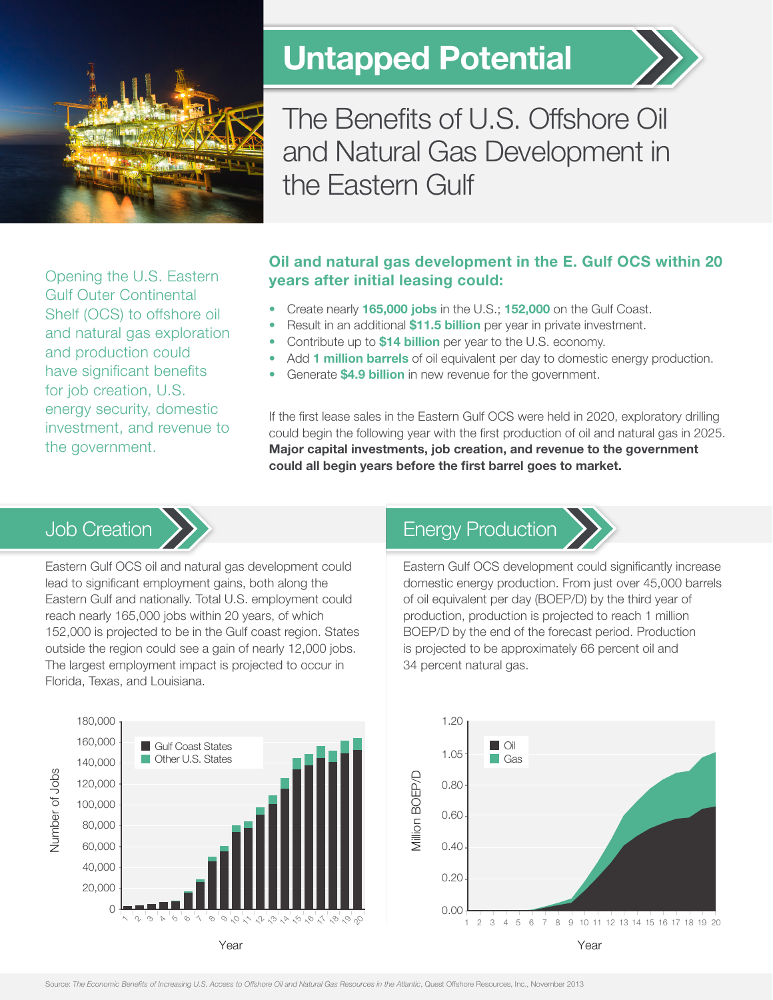

# Untapped Potential



The Benefits of U.S. Offshore Oil and Natural Gas Development in the Eastern Gulf

Opening the U.S. Eastern Gulf Outer Continental Shelf (OCS) to offshore oil and natural gas exploration and production could have significant benefits for job creation, U.S. energy security, domestic investment, and revenue to the government.

#### Oil and natural gas development in the E. Gulf OCS within 20 years after initial leasing could:

- Create nearly 165,000 jobs in the U.S.; 152,000 on the Gulf Coast.
- Result in an additional \$11.5 billion per year in private investment.
- Contribute up to \$14 billion per year to the U.S. economy.
- Add 1 million barrels of oil equivalent per day to domestic energy production.
- Generate **\$4.9 billion** in new revenue for the government.

If the first lease sales in the Eastern Gulf OCS were held in 2020, exploratory drilling could begin the following year with the first production of oil and natural gas in 2025. Major capital investments, job creation, and revenue to the government could all begin years before the first barrel goes to market.

# Job Creation



Eastern Gulf OCS oil and natural gas development could lead to significant employment gains, both along the Eastern Gulf and nationally. Total U.S. employment could reach nearly 165,000 jobs within 20 years, of which 152,000 is projected to be in the Gulf coast region. States outside the region could see a gain of nearly 12,000 jobs. The largest employment impact is projected to occur in Florida, Texas, and Louisiana.

# Energy Production



Eastern Gulf OCS development could significantly increase domestic energy production. From just over 45,000 barrels of oil equivalent per day (BOEP/D) by the third year of production, production is projected to reach 1 million BOEP/D by the end of the forecast period. Production is projected to be approximately 66 percent oil and 34 percent natural gas.